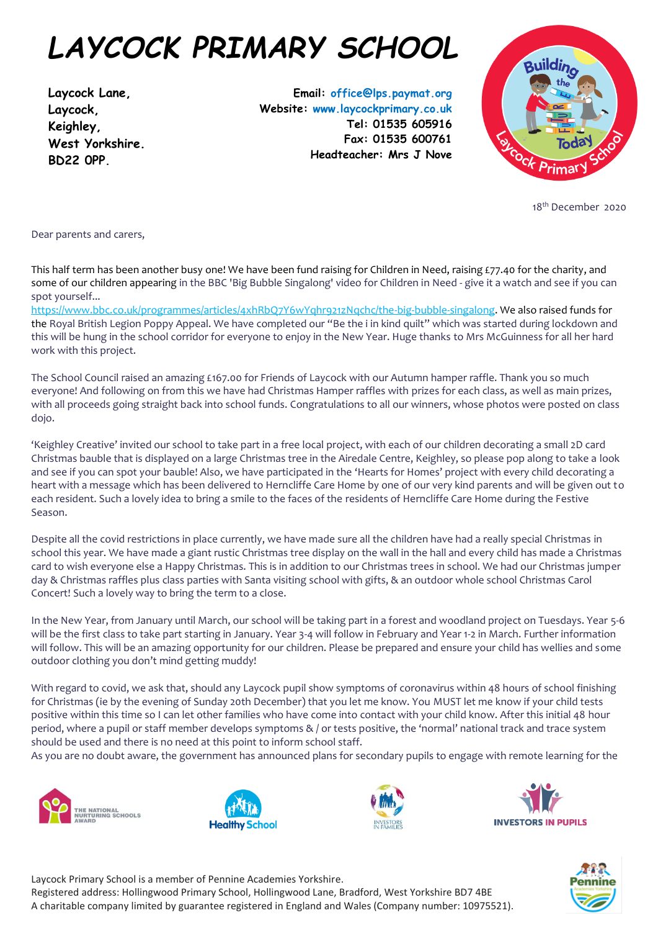## *LAYCOCK PRIMARY SCHOOL*

**Laycock Lane, Laycock, Keighley, West Yorkshire. BD22 0PP.**

**Email: office@lps.paymat.org Website: www.laycockprimary.co.uk Tel: 01535 605916 Fax: 01535 600761 Headteacher: Mrs J Nove**



18<sup>th</sup> December 2020

Dear parents and carers,

This half term has been another busy one! We have been fund raising for Children in Need, raising £77.40 for the charity, and some of our children appearing in the BBC 'Big Bubble Singalong' video for Children in Need - give it a watch and see if you can spot yourself...

[https://www.bbc.co.uk/programmes/articles/4xhRbQ7Y6wYqhr921zNqchc/the-big-bubble-singalong.](https://www.bbc.co.uk/programmes/articles/4xhRbQ7Y6wYqhr921zNqchc/the-big-bubble-singalong) We also raised funds for the Royal British Legion Poppy Appeal. We have completed our "Be the i in kind quilt" which was started during lockdown and this will be hung in the school corridor for everyone to enjoy in the New Year. Huge thanks to Mrs McGuinness for all her hard work with this project.

The School Council raised an amazing £167.00 for Friends of Laycock with our Autumn hamper raffle. Thank you so much everyone! And following on from this we have had Christmas Hamper raffles with prizes for each class, as well as main prizes, with all proceeds going straight back into school funds. Congratulations to all our winners, whose photos were posted on class dojo.

'Keighley Creative' invited our school to take part in a free local project, with each of our children decorating a small 2D card Christmas bauble that is displayed on a large Christmas tree in the Airedale Centre, Keighley, so please pop along to take a look and see if you can spot your bauble! Also, we have participated in the 'Hearts for Homes' project with every child decorating a heart with a message which has been delivered to Herncliffe Care Home by one of our very kind parents and will be given out to each resident. Such a lovely idea to bring a smile to the faces of the residents of Herncliffe Care Home during the Festive Season.

Despite all the covid restrictions in place currently, we have made sure all the children have had a really special Christmas in school this year. We have made a giant rustic Christmas tree display on the wall in the hall and every child has made a Christmas card to wish everyone else a Happy Christmas. This is in addition to our Christmas trees in school. We had our Christmas jumper day & Christmas raffles plus class parties with Santa visiting school with gifts, & an outdoor whole school Christmas Carol Concert! Such a lovely way to bring the term to a close.

In the New Year, from January until March, our school will be taking part in a forest and woodland project on Tuesdays. Year 5-6 will be the first class to take part starting in January. Year 3-4 will follow in February and Year 1-2 in March. Further information will follow. This will be an amazing opportunity for our children. Please be prepared and ensure your child has wellies and some outdoor clothing you don't mind getting muddy!

With regard to covid, we ask that, should any Laycock pupil show symptoms of coronavirus within 48 hours of school finishing for Christmas (ie by the evening of Sunday 20th December) that you let me know. You MUST let me know if your child tests positive within this time so I can let other families who have come into contact with your child know. After this initial 48 hour period, where a pupil or staff member develops symptoms  $\&/$  or tests positive, the 'normal' national track and trace system should be used and there is no need at this point to inform school staff.

As you are no doubt aware, the government has announced plans for secondary pupils to engage with remote learning for the











Laycock Primary School is a member of Pennine Academies Yorkshire. Registered address: Hollingwood Primary School, Hollingwood Lane, Bradford, West Yorkshire BD7 4BE A charitable company limited by guarantee registered in England and Wales (Company number: 10975521).